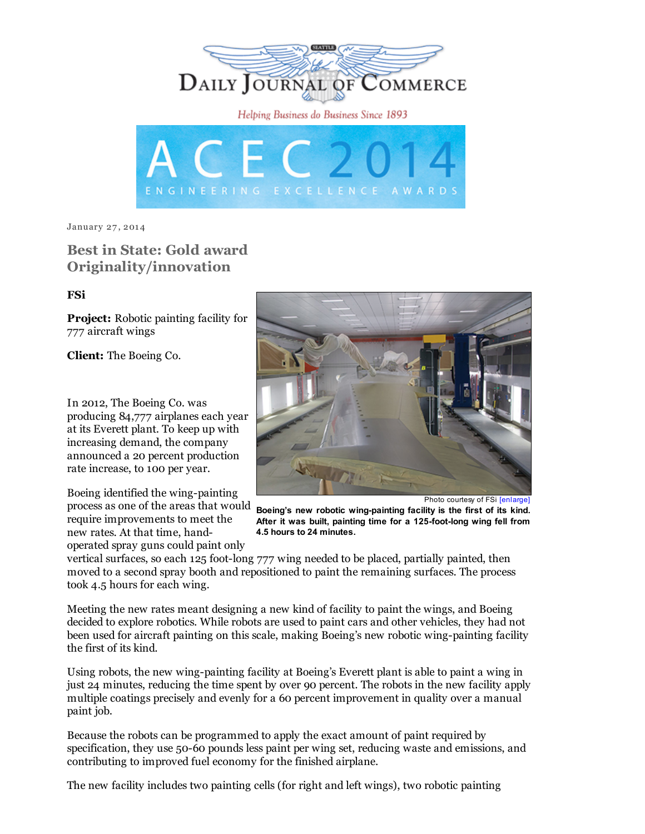DAILY JOURNAL OF COMMERCE Helping Business do Business Since 1893 GINEERING EXCELLENCE

January 27, 2014

## Best in State: Gold award Originality/innovation

## FSi

Project: Robotic painting facility for 777 aircraft wings

Client: The Boeing Co.

In 2012, The Boeing Co. was producing 84,777 airplanes each year at its Everett plant. To keep up with increasing demand, the company announced a 20 percent production rate increase, to 100 per year.

process as one of the areas that would Boeing's new robotic wing-painting facility is the first of its kind. Boeing identified the wing-painting require improvements to meet the new rates. At that time, handoperated spray guns could paint only



Photo courtesy of FSi [\[enlarge\]](http://www.djc.com/stories/images/20140127/1-Robots%20Wing%20Painting_big.jpg)

After it was built, painting time for a 125-foot-long wing fell from 4.5 hours to 24 minutes.

vertical surfaces, so each 125 foot-long 777 wing needed to be placed, partially painted, then moved to a second spray booth and repositioned to paint the remaining surfaces. The process took 4.5 hours for each wing.

Meeting the new rates meant designing a new kind of facility to paint the wings, and Boeing decided to explore robotics. While robots are used to paint cars and other vehicles, they had not been used for aircraft painting on this scale, making Boeing's new robotic wing-painting facility the first of its kind.

Using robots, the new wing-painting facility at Boeing's Everett plant is able to paint a wing in just 24 minutes, reducing the time spent by over 90 percent. The robots in the new facility apply multiple coatings precisely and evenly for a 60 percent improvement in quality over a manual paint job.

Because the robots can be programmed to apply the exact amount of paint required by specification, they use 50-60 pounds less paint per wing set, reducing waste and emissions, and contributing to improved fuel economy for the finished airplane.

The new facility includes two painting cells (for right and left wings), two robotic painting